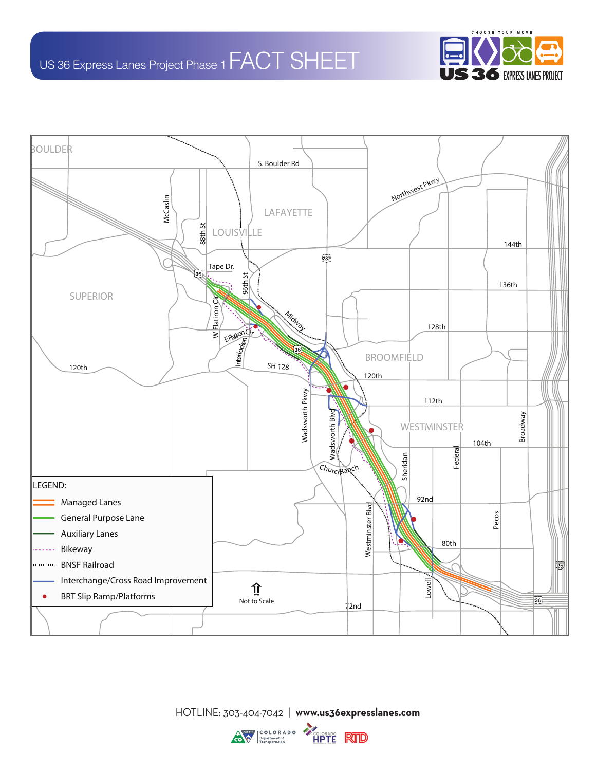



HOTLINE: 303-404-7042 | **www.us36expresslanes.com**